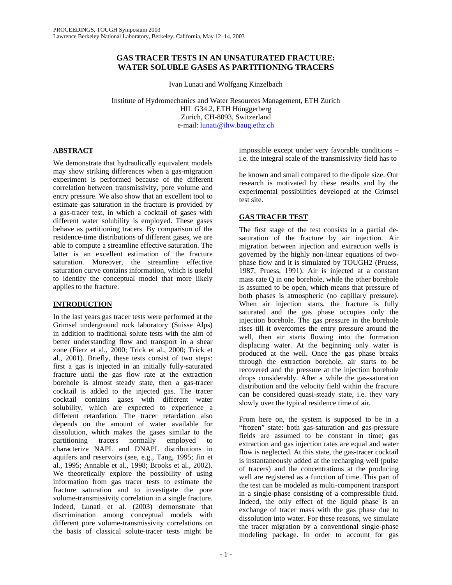## **GAS TRACER TESTS IN AN UNSATURATED FRACTURE: WATER SOLUBLE GASES AS PARTITIONING TRACERS**

Ivan Lunati and Wolfgang Kinzelbach

Institute of Hydromechanics and Water Resources Management, ETH Zurich HIL G34.2, ETH Hönggerberg Zurich, CH-8093, Switzerland e-mail: lunati@ihw.baug.ethz.ch

# **ABSTRACT**

We demonstrate that hydraulically equivalent models may show striking differences when a gas-migration experiment is performed because of the different correlation between transmissivity, pore volume and entry pressure. We also show that an excellent tool to estimate gas saturation in the fracture is provided by a gas-tracer test, in which a cocktail of gases with different water solubility is employed. These gases behave as partitioning tracers. By comparison of the residence-time distributions of different gases, we are able to compute a streamline effective saturation. The latter is an excellent estimation of the fracture saturation. Moreover, the streamline effective saturation curve contains information, which is useful to identify the conceptual model that more likely applies to the fracture.

# **INTRODUCTION**

In the last years gas tracer tests were performed at the Grimsel underground rock laboratory (Suisse Alps) in addition to traditional solute tests with the aim of better understanding flow and transport in a shear zone (Fierz et al., 2000; Trick et al., 2000; Trick et al., 2001). Briefly, these tests consist of two steps: first a gas is injected in an initially fully-saturated fracture until the gas flow rate at the extraction borehole is almost steady state, then a gas-tracer cocktail is added to the injected gas. The tracer cocktail contains gases with different water solubility, which are expected to experience a different retardation. The tracer retardation also depends on the amount of water available for dissolution, which makes the gases similar to the partitioning tracers normally employed to characterize NAPL and DNAPL distributions in aquifers and reservoirs (see, e.g., Tang, 1995; Jin et al., 1995; Annable et al., 1998; Brooks et al., 2002). We theoretically explore the possibility of using information from gas tracer tests to estimate the fracture saturation and to investigate the pore volume-transmissivity correlation in a single fracture. Indeed, Lunati et al. (2003) demonstrate that discrimination among conceptual models with different pore volume-transmissivity correlations on the basis of classical solute-tracer tests might be

impossible except under very favorable conditions – i.e. the integral scale of the transmissivity field has to

be known and small compared to the dipole size. Our research is motivated by these results and by the experimental possibilities developed at the Grimsel test site.

# **GAS TRACER TEST**

The first stage of the test consists in a partial desaturation of the fracture by air injection. Air migration between injection and extraction wells is governed by the highly non-linear equations of twophase flow and it is simulated by TOUGH2 (Pruess, 1987; Pruess, 1991). Air is injected at a constant mass rate Q in one borehole, while the other borehole is assumed to be open, which means that pressure of both phases is atmospheric (no capillary pressure). When air injection starts, the fracture is fully saturated and the gas phase occupies only the injection borehole. The gas pressure in the borehole rises till it overcomes the entry pressure around the well, then air starts flowing into the formation displacing water. At the beginning only water is produced at the well. Once the gas phase breaks through the extraction borehole, air starts to be recovered and the pressure at the injection borehole drops considerably. After a while the gas-saturation distribution and the velocity field within the fracture can be considered quasi-steady state, i.e. they vary slowly over the typical residence time of air.

From here on, the system is supposed to be in a "frozen" state: both gas-saturation and gas-pressure fields are assumed to be constant in time; gas extraction and gas injection rates are equal and water flow is neglected. At this state, the gas-tracer cocktail is instantaneously added at the recharging well (pulse of tracers) and the concentrations at the producing well are registered as a function of time. This part of the test can be modeled as multi-component transport in a single-phase consisting of a compressible fluid. Indeed, the only effect of the liquid phase is an exchange of tracer mass with the gas phase due to dissolution into water. For these reasons, we simulate the tracer migration by a conventional single-phase modeling package. In order to account for gas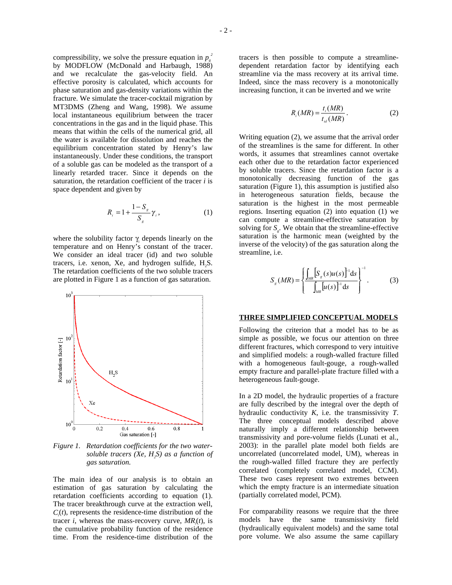compressibility, we solve the pressure equation in  $p_s^2$ by MODFLOW (McDonald and Harbaugh, 1988) and we recalculate the gas-velocity field. An effective porosity is calculated, which accounts for phase saturation and gas-density variations within the fracture. We simulate the tracer-cocktail migration by MT3DMS (Zheng and Wang, 1998). We assume local instantaneous equilibrium between the tracer concentrations in the gas and in the liquid phase. This means that within the cells of the numerical grid, all the water is available for dissolution and reaches the equilibrium concentration stated by Henry's law instantaneously. Under these conditions, the transport of a soluble gas can be modeled as the transport of a linearly retarded tracer. Since it depends on the saturation, the retardation coefficient of the tracer *i* is space dependent and given by

$$
R_i = 1 + \frac{1 - S_s}{S_g} \gamma_i, \qquad (1)
$$

where the solubility factor  $\gamma$ <sub>i</sub> depends linearly on the temperature and on Henry's constant of the tracer. We consider an ideal tracer (id) and two soluble tracers, i.e. xenon, Xe, and hydrogen sulfide, H<sub>2</sub>S. The retardation coefficients of the two soluble tracers are plotted in Figure 1 as a function of gas saturation.



*Figure 1. Retardation coefficients for the two watersoluble tracers (Xe, H<sub>2</sub>S) as a function of gas saturation.* 

The main idea of our analysis is to obtain an estimation of gas saturation by calculating the retardation coefficients according to equation (1). The tracer breakthrough curve at the extraction well,  $C<sub>i</sub>(t)$ , represents the residence-time distribution of the tracer *i*, whereas the mass-recovery curve,  $MR_i(t)$ , is the cumulative probability function of the residence time. From the residence-time distribution of the

tracers is then possible to compute a streamlinedependent retardation factor by identifying each streamline via the mass recovery at its arrival time. Indeed, since the mass recovery is a monotonically increasing function, it can be inverted and we write

$$
R_i(MR) = \frac{t_i(MR)}{t_{id}(MR)}.
$$
 (2)

Writing equation (2), we assume that the arrival order of the streamlines is the same for different. In other words, it assumes that streamlines cannot overtake each other due to the retardation factor experienced by soluble tracers. Since the retardation factor is a monotonically decreasing function of the gas saturation (Figure 1), this assumption is justified also in heterogeneous saturation fields, because the saturation is the highest in the most permeable regions. Inserting equation (2) into equation (1) we can compute a streamline-effective saturation by solving for  $S<sub>a</sub>$ . We obtain that the streamline-effective saturation is the harmonic mean (weighted by the inverse of the velocity) of the gas saturation along the streamline, i.e.

$$
S_g(MR) = \left\{ \frac{\int_{MR} \left[ S_g(s)u(s) \right]^2 ds}{\int_{MR} [u(s)]^2 ds} \right\}^{-1}.
$$
 (3)

#### **THREE SIMPLIFIED CONCEPTUAL MODELS**

Following the criterion that a model has to be as simple as possible, we focus our attention on three different fractures, which correspond to very intuitive and simplified models: a rough-walled fracture filled with a homogeneous fault-gouge, a rough-walled empty fracture and parallel-plate fracture filled with a heterogeneous fault-gouge.

In a 2D model, the hydraulic properties of a fracture are fully described by the integral over the depth of hydraulic conductivity *K*, i.e. the transmissivity *T*. The three conceptual models described above naturally imply a different relationship between transmissivity and pore-volume fields (Lunati et al., 2003): in the parallel plate model both fields are uncorrelated (uncorrelated model, UM), whereas in the rough-walled filled fracture they are perfectly correlated (completely correlated model, CCM). These two cases represent two extremes between which the empty fracture is an intermediate situation (partially correlated model, PCM).

For comparability reasons we require that the three models have the same transmissivity field (hydraulically equivalent models) and the same total pore volume. We also assume the same capillary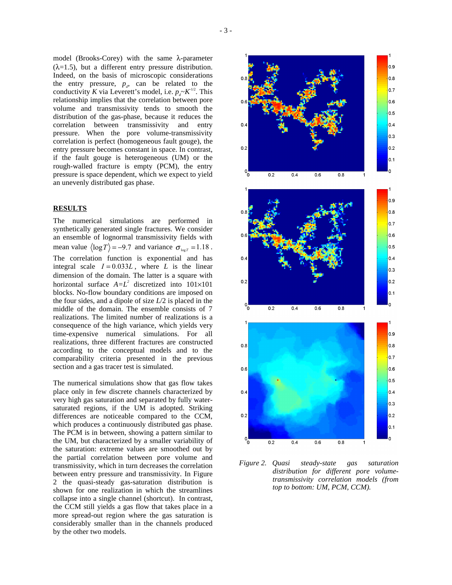model (Brooks-Corey) with the same  $\lambda$ -parameter  $(\lambda=1.5)$ , but a different entry pressure distribution. Indeed, on the basis of microscopic considerations the entry pressure,  $p_d$ , can be related to the conductivity *K* via Leverett's model, i.e.  $p_{\rho}K^{1/2}$ . This relationship implies that the correlation between pore volume and transmissivity tends to smooth the distribution of the gas-phase, because it reduces the correlation between transmissivity and entry pressure. When the pore volume-transmissivity correlation is perfect (homogeneous fault gouge), the entry pressure becomes constant in space. In contrast, if the fault gouge is heterogeneous (UM) or the rough-walled fracture is empty (PCM), the entry pressure is space dependent, which we expect to yield an unevenly distributed gas phase.

### **RESULTS**

The numerical simulations are performed in synthetically generated single fractures. We consider an ensemble of lognormal transmissivity fields with mean value  $\langle \log T \rangle = -9.7$  and variance  $\sigma_{\log T} = 1.18$ . The correlation function is exponential and has integral scale  $I = 0.033L$ , where *L* is the linear dimension of the domain. The latter is a square with horizontal surface  $A = L^2$  discretized into  $101 \times 101$ blocks. No-flow boundary conditions are imposed on the four sides, and a dipole of size *L*/2 is placed in the middle of the domain. The ensemble consists of 7 realizations. The limited number of realizations is a consequence of the high variance, which yields very time-expensive numerical simulations. For all realizations, three different fractures are constructed according to the conceptual models and to the comparability criteria presented in the previous section and a gas tracer test is simulated.

The numerical simulations show that gas flow takes place only in few discrete channels characterized by very high gas saturation and separated by fully watersaturated regions, if the UM is adopted. Striking differences are noticeable compared to the CCM, which produces a continuously distributed gas phase. The PCM is in between, showing a pattern similar to the UM, but characterized by a smaller variability of the saturation: extreme values are smoothed out by the partial correlation between pore volume and transmissivity, which in turn decreases the correlation between entry pressure and transmissivity. In Figure 2 the quasi-steady gas-saturation distribution is shown for one realization in which the streamlines collapse into a single channel (shortcut). In contrast, the CCM still yields a gas flow that takes place in a more spread-out region where the gas saturation is considerably smaller than in the channels produced by the other two models.



*Figure 2. Quasi steady-state gas saturation distribution for different pore volumetransmissivity correlation models (from top to bottom: UM, PCM, CCM).*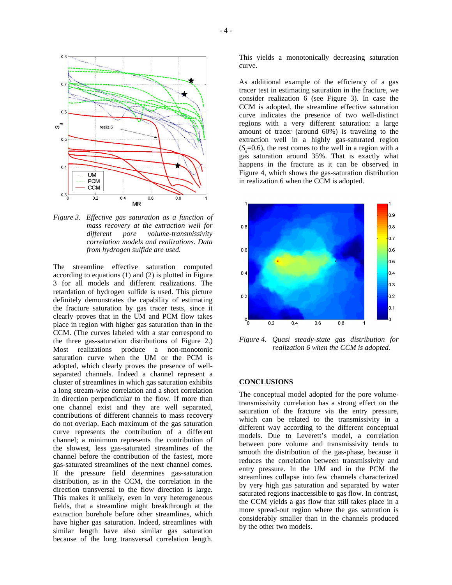

*Figure 3. Effective gas saturation as a function of mass recovery at the extraction well for different pore volume-transmissivity correlation models and realizations. Data from hydrogen sulfide are used.* 

The streamline effective saturation computed according to equations (1) and (2) is plotted in Figure 3 for all models and different realizations. The retardation of hydrogen sulfide is used. This picture definitely demonstrates the capability of estimating the fracture saturation by gas tracer tests, since it clearly proves that in the UM and PCM flow takes place in region with higher gas saturation than in the CCM. (The curves labeled with a star correspond to the three gas-saturation distributions of Figure 2.) Most realizations produce a non-monotonic saturation curve when the UM or the PCM is adopted, which clearly proves the presence of wellseparated channels. Indeed a channel represent a cluster of streamlines in which gas saturation exhibits a long stream-wise correlation and a short correlation in direction perpendicular to the flow. If more than one channel exist and they are well separated, contributions of different channels to mass recovery do not overlap. Each maximum of the gas saturation curve represents the contribution of a different channel; a minimum represents the contribution of the slowest, less gas-saturated streamlines of the channel before the contribution of the fastest, more gas-saturated streamlines of the next channel comes. If the pressure field determines gas-saturation distribution, as in the CCM, the correlation in the direction transversal to the flow direction is large. This makes it unlikely, even in very heterogeneous fields, that a streamline might breakthrough at the extraction borehole before other streamlines, which have higher gas saturation. Indeed, streamlines with similar length have also similar gas saturation because of the long transversal correlation length.

This yields a monotonically decreasing saturation curve.

As additional example of the efficiency of a gas tracer test in estimating saturation in the fracture, we consider realization  $\overline{6}$  (see Figure 3). In case the CCM is adopted, the streamline effective saturation curve indicates the presence of two well-distinct regions with a very different saturation: a large amount of tracer (around 60%) is traveling to the extraction well in a highly gas-saturated region  $(S = 0.6)$ , the rest comes to the well in a region with a gas saturation around 35%. That is exactly what happens in the fracture as it can be observed in Figure 4, which shows the gas-saturation distribution in realization 6 when the CCM is adopted.



*Figure 4. Quasi steady-state gas distribution for realization 6 when the CCM is adopted.* 

### **CONCLUSIONS**

The conceptual model adopted for the pore volumetransmissivity correlation has a strong effect on the saturation of the fracture via the entry pressure, which can be related to the transmissivity in a different way according to the different conceptual models. Due to Leverett's model, a correlation between pore volume and transmissivity tends to smooth the distribution of the gas-phase, because it reduces the correlation between transmissivity and entry pressure. In the UM and in the PCM the streamlines collapse into few channels characterized by very high gas saturation and separated by water saturated regions inaccessible to gas flow. In contrast, the CCM yields a gas flow that still takes place in a more spread-out region where the gas saturation is considerably smaller than in the channels produced by the other two models.